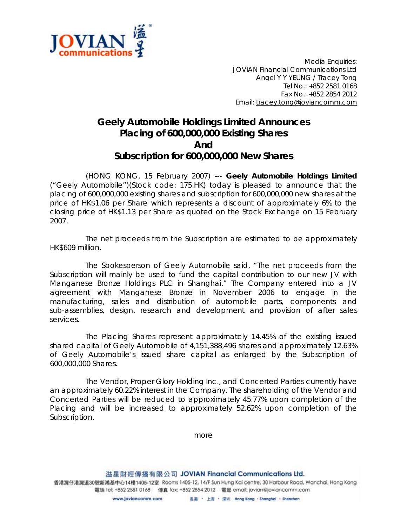

*Media Enquiries: JOVIAN Financial Communications Ltd Angel Y Y YEUNG / Tracey Tong Tel No.: +852 2581 0168 Fax No.: +852 2854 2012 Email: tracey.tong@joviancomm.com*

## **Geely Automobile Holdings Limited Announces Placing of 600,000,000 Existing Shares And Subscription for 600,000,000 New Shares**

(HONG KONG, 15 February 2007) --- **Geely Automobile Holdings Limited** ("Geely Automobile")(Stock code: 175.HK) today is pleased to announce that the placing of 600,000,000 existing shares and subscription for 600,000,000 new shares at the price of HK\$1.06 per Share which represents a discount of approximately 6% to the closing price of HK\$1.13 per Share as quoted on the Stock Exchange on 15 February 2007.

The net proceeds from the Subscription are estimated to be approximately HK\$609 million.

The Spokesperson of Geely Automobile said, "The net proceeds from the Subscription will mainly be used to fund the capital contribution to our new JV with Manganese Bronze Holdings PLC in Shanghai." The Company entered into a JV agreement with Manganese Bronze in November 2006 to engage in the manufacturing, sales and distribution of automobile parts, components and sub-assemblies, design, research and development and provision of after sales services.

The Placing Shares represent approximately 14.45% of the existing issued shared capital of Geely Automobile of 4,151,388,496 shares and approximately 12.63% of Geely Automobile's issued share capital as enlarged by the Subscription of 600,000,000 Shares.

The Vendor, Proper Glory Holding Inc., and Concerted Parties currently have an approximately 60.22% interest in the Company. The shareholding of the Vendor and Concerted Parties will be reduced to approximately 45.77% upon completion of the Placing and will be increased to approximately 52.62% upon completion of the Subscription.

*more*